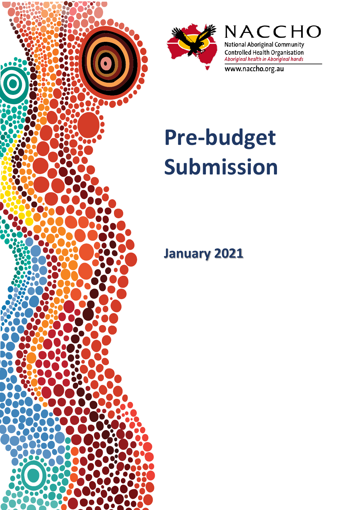



NACCHO National Aboriginal Community Controlled Health Organisation<br>Aboriginal health in Aboriginal hands

www.naccho.org.au

# **Pre-budget Submission**

**January 2021**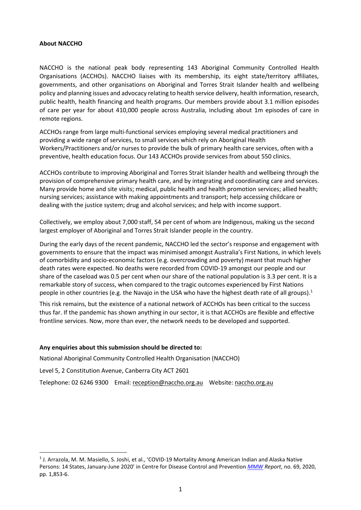#### **About NACCHO**

NACCHO is the national peak body representing 143 Aboriginal Community Controlled Health Organisations (ACCHOs). NACCHO liaises with its membership, its eight state/territory affiliates, governments, and other organisations on Aboriginal and Torres Strait Islander health and wellbeing policy and planning issues and advocacy relating to health service delivery, health information, research, public health, health financing and health programs. Our members provide about 3.1 million episodes of care per year for about 410,000 people across Australia, including about 1m episodes of care in remote regions.

ACCHOs range from large multi-functional services employing several medical practitioners and providing a wide range of services, to small services which rely on Aboriginal Health Workers/Practitioners and/or nurses to provide the bulk of primary health care services, often with a preventive, health education focus. Our 143 ACCHOs provide services from about 550 clinics.

ACCHOs contribute to improving Aboriginal and Torres Strait Islander health and wellbeing through the provision of comprehensive primary health care, and by integrating and coordinating care and services. Many provide home and site visits; medical, public health and health promotion services; allied health; nursing services; assistance with making appointments and transport; help accessing childcare or dealing with the justice system; drug and alcohol services; and help with income support.

Collectively, we employ about 7,000 staff, 54 per cent of whom are Indigenous, making us the second largest employer of Aboriginal and Torres Strait Islander people in the country.

During the early days of the recent pandemic, NACCHO led the sector's response and engagement with governments to ensure that the impact was minimised amongst Australia's First Nations, in which levels of comorbidity and socio-economic factors (e.g. overcrowding and poverty) meant that much higher death rates were expected. No deaths were recorded from COVID-19 amongst our people and our share of the caseload was 0.5 per cent when our share of the national population is 3.3 per cent. It is a remarkable story of success, when compared to the tragic outcomes experienced by First Nations people in other countries (e.g. the Navajo in the USA who have the highest death rate of all groups).<sup>1</sup>

This risk remains, but the existence of a national network of ACCHOs has been critical to the success thus far. If the pandemic has shown anything in our sector, it is that ACCHOs are flexible and effective frontline services. Now, more than ever, the network needs to be developed and supported.

#### **Any enquiries about this submission should be directed to:**

National Aboriginal Community Controlled Health Organisation (NACCHO)

Level 5, 2 Constitution Avenue, Canberra City ACT 2601

Telephone: 02 6246 9300 Email[: reception@naccho.org.au](mailto:reception@naccho.org.au) Website: [naccho.org.au](http://www.naccho.org.au/)

<span id="page-1-0"></span><sup>1</sup> J. Arrazola, M. M. Masiello, S. Joshi, et al., 'COVID-19 Mortality Among American Indian and Alaska Native Persons: 14 States, January-June 2020' in Centre for Disease Control and Prevention *[MMW](https://www.cdc.gov/mmwr/volumes/69/wr/mm6949a3.htm#suggestedcitation) Report*, no. 69, 2020, pp. 1,853-6.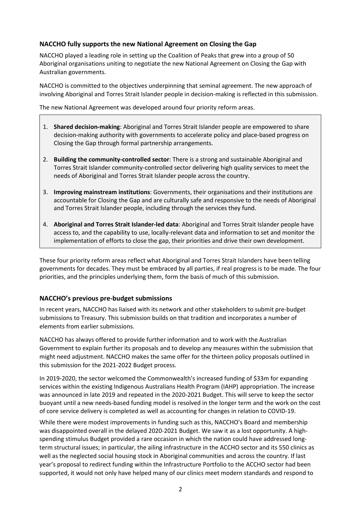# **NACCHO fully supports the new National Agreement on Closing the Gap**

NACCHO played a leading role in setting up the Coalition of Peaks that grew into a group of 50 Aboriginal organisations uniting to negotiate the new National Agreement on Closing the Gap with Australian governments.

NACCHO is committed to the objectives underpinning that seminal agreement. The new approach of involving Aboriginal and Torres Strait Islander people in decision-making is reflected in this submission.

The new National Agreement was developed around four priority reform areas.

- 1. **Shared decision-making**: Aboriginal and Torres Strait Islander people are empowered to share decision-making authority with governments to accelerate policy and place-based progress on Closing the Gap through formal partnership arrangements.
- 2. **Building the community-controlled sector**: There is a strong and sustainable Aboriginal and Torres Strait Islander community-controlled sector delivering high quality services to meet the needs of Aboriginal and Torres Strait Islander people across the country.
- 3. **Improving mainstream institutions**: Governments, their organisations and their institutions are accountable for Closing the Gap and are culturally safe and responsive to the needs of Aboriginal and Torres Strait Islander people, including through the services they fund.
- 4. **Aboriginal and Torres Strait Islander-led data**: Aboriginal and Torres Strait Islander people have access to, and the capability to use, locally-relevant data and information to set and monitor the implementation of efforts to close the gap, their priorities and drive their own development.

These four priority reform areas reflect what Aboriginal and Torres Strait Islanders have been telling governments for decades. They must be embraced by all parties, if real progress is to be made. The four priorities, and the principles underlying them, form the basis of much of this submission.

## **NACCHO's previous pre-budget submissions**

In recent years, NACCHO has liaised with its network and other stakeholders to submit pre-budget submissions to Treasury. This submission builds on that tradition and incorporates a number of elements from earlier submissions.

NACCHO has always offered to provide further information and to work with the Australian Government to explain further its proposals and to develop any measures within the submission that might need adjustment. NACCHO makes the same offer for the thirteen policy proposals outlined in this submission for the 2021-2022 Budget process.

In 2019-2020, the sector welcomed the Commonwealth's increased funding of \$33m for expanding services within the existing Indigenous Australians Health Program (IAHP) appropriation. The increase was announced in late 2019 and repeated in the 2020-2021 Budget. This will serve to keep the sector buoyant until a new needs-based funding model is resolved in the longer term and the work on the cost of core service delivery is completed as well as accounting for changes in relation to COVID-19.

While there were modest improvements in funding such as this, NACCHO's Board and membership was disappointed overall in the delayed 2020-2021 Budget. We saw it as a lost opportunity. A highspending stimulus Budget provided a rare occasion in which the nation could have addressed longterm structural issues; in particular, the ailing infrastructure in the ACCHO sector and its 550 clinics as well as the neglected social housing stock in Aboriginal communities and across the country. If last year's proposal to redirect funding within the Infrastructure Portfolio to the ACCHO sector had been supported, it would not only have helped many of our clinics meet modern standards and respond to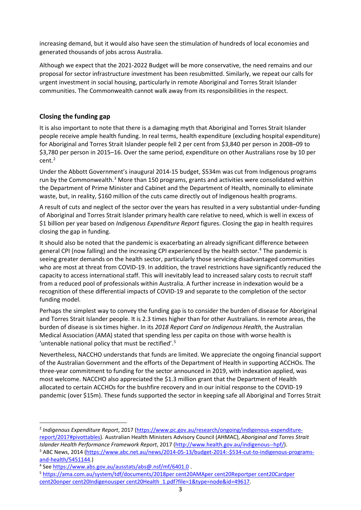increasing demand, but it would also have seen the stimulation of hundreds of local economies and generated thousands of jobs across Australia.

Although we expect that the 2021-2022 Budget will be more conservative, the need remains and our proposal for sector infrastructure investment has been resubmitted. Similarly, we repeat our calls for urgent investment in social housing, particularly in remote Aboriginal and Torres Strait Islander communities. The Commonwealth cannot walk away from its responsibilities in the respect.

#### **Closing the funding gap**

It is also important to note that there is a damaging myth that Aboriginal and Torres Strait Islander people receive ample health funding. In real terms, health expenditure (excluding hospital expenditure) for Aboriginal and Torres Strait Islander people fell 2 per cent from \$3,840 per person in 2008–09 to \$3,780 per person in 2015–16. Over the same period, expenditure on other Australians rose by 10 per cent. [2](#page-3-0)

Under the Abbott Government's inaugural 2014-15 budget, \$534m was cut from Indigenous programs run by the Commonwealth.<sup>[3](#page-3-1)</sup> More than 150 programs, grants and activities were consolidated within the Department of Prime Minister and Cabinet and the Department of Health, nominally to eliminate waste, but, in reality, \$160 million of the cuts came directly out of Indigenous health programs.

A result of cuts and neglect of the sector over the years has resulted in a very substantial under-funding of Aboriginal and Torres Strait Islander primary health care relative to need, which is well in excess of \$1 billion per year based on *Indigenous Expenditure Report* figures. Closing the gap in health requires closing the gap in funding.

It should also be noted that the pandemic is exacerbating an already significant difference between general CPI (now falling) and the increasing CPI experienced by the health sector.<sup>[4](#page-3-2)</sup> The pandemic is seeing greater demands on the health sector, particularly those servicing disadvantaged communities who are most at threat from COVID-19. In addition, the travel restrictions have significantly reduced the capacity to access international staff. This will inevitably lead to increased salary costs to recruit staff from a reduced pool of professionals within Australia. A further increase in indexation would be a recognition of these differential impacts of COVID-19 and separate to the completion of the sector funding model.

Perhaps the simplest way to convey the funding gap is to consider the burden of disease for Aboriginal and Torres Strait Islander people. It is 2.3 times higher than for other Australians. In remote areas, the burden of disease is six times higher. In its *2018 Report Card on Indigenous Health*, the Australian Medical Association (AMA) stated that spending less per capita on those with worse health is 'untenable national policy that must be rectified'.[5](#page-3-3)

Nevertheless, NACCHO understands that funds are limited. We appreciate the ongoing financial support of the Australian Government and the efforts of the Department of Health in supporting ACCHOs. The three-year commitment to funding for the sector announced in 2019, with indexation applied, was most welcome. NACCHO also appreciated the \$1.3 million grant that the Department of Health allocated to certain ACCHOs for the bushfire recovery and in our initial response to the COVID-19 pandemic (over \$15m). These funds supported the sector in keeping safe all Aboriginal and Torres Strait

<span id="page-3-0"></span><sup>2</sup> *Indigenous Expenditure Report*, 2017 [\(https://www.pc.gov.au/research/ongoing/indigenous-expenditure](https://www.pc.gov.au/research/ongoing/indigenous-expenditure-report/2017#pivottables)[report/2017#pivottables\)](https://www.pc.gov.au/research/ongoing/indigenous-expenditure-report/2017#pivottables). Australian Health Ministers Advisory Council (AHMAC), *Aboriginal and Torres Strait* 

<span id="page-3-1"></span>*Islander Health Performance Framework Report*, 2017 [\(http://www.health.gov.au/indigenous-](http://www.health.gov.au/indigenous-%E2%80%90hpf/)-hpf/).<br><sup>3</sup> ABC News, 2014 [\(https://www.abc.net.au/news/2014-05-13/budget-2014:-\\$534-cut-to-indigenous-programs](https://www.abc.net.au/news/2014-05-13/budget-2014:-$534-cut-to-indigenous-programs-and-health/5451144)[and-health/5451144.](https://www.abc.net.au/news/2014-05-13/budget-2014:-$534-cut-to-indigenous-programs-and-health/5451144))

<span id="page-3-2"></span><sup>4</sup> Se[e https://www.abs.gov.au/ausstats/abs@.nsf/mf/6401.0](https://www.abs.gov.au/ausstats/abs@.nsf/mf/6401.0) .

<span id="page-3-3"></span><sup>5</sup> [https://ama.com.au/system/tdf/documents/2018per cent20AMAper cent20Reportper cent20Cardper](https://ama.com.au/system/tdf/documents/2018per%20cent20AMAper%20cent20Reportper%20cent20Cardper%20cent20onper%20cent20Indigenousper%20cent20Health_1.pdf?file=1&type=node&id=49617)  [cent20onper cent20Indigenousper cent20Health\\_1.pdf?file=1&type=node&id=49617.](https://ama.com.au/system/tdf/documents/2018per%20cent20AMAper%20cent20Reportper%20cent20Cardper%20cent20onper%20cent20Indigenousper%20cent20Health_1.pdf?file=1&type=node&id=49617)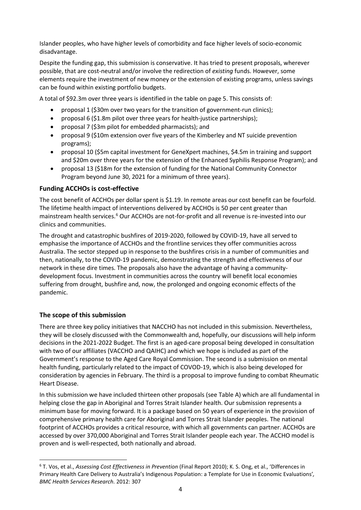Islander peoples, who have higher levels of comorbidity and face higher levels of socio-economic disadvantage.

Despite the funding gap, this submission is conservative. It has tried to present proposals, wherever possible, that are cost-neutral and/or involve the redirection of *existing* funds. However, some elements require the investment of new money or the extension of existing programs, unless savings can be found within existing portfolio budgets.

A total of \$92.3m over three years is identified in the table on page 5. This consists of:

- proposal 1 (\$30m over two years for the transition of government-run clinics);
- proposal 6 (\$1.8m pilot over three years for health-justice partnerships);
- proposal 7 (\$3m pilot for embedded pharmacists); and
- proposal 9 (\$10m extension over five years of the Kimberley and NT suicide prevention programs);
- proposal 10 (\$5m capital investment for GeneXpert machines, \$4.5m in training and support and \$20m over three years for the extension of the Enhanced Syphilis Response Program); and
- proposal 13 (\$18m for the extension of funding for the National Community Connector Program beyond June 30, 2021 for a minimum of three years).

#### **Funding ACCHOs is cost-effective**

The cost benefit of ACCHOs per dollar spent is \$1.19. In remote areas our cost benefit can be fourfold. The lifetime health impact of interventions delivered by ACCHOs is 50 per cent greater than mainstream health services.<sup>[6](#page-4-0)</sup> Our ACCHOs are not-for-profit and all revenue is re-invested into our clinics and communities.

The drought and catastrophic bushfires of 2019-2020, followed by COVID-19, have all served to emphasise the importance of ACCHOs and the frontline services they offer communities across Australia. The sector stepped up in response to the bushfires crisis in a number of communities and then, nationally, to the COVID-19 pandemic, demonstrating the strength and effectiveness of our network in these dire times. The proposals also have the advantage of having a communitydevelopment focus. Investment in communities across the country will benefit local economies suffering from drought, bushfire and, now, the prolonged and ongoing economic effects of the pandemic.

## **The scope of this submission**

There are three key policy initiatives that NACCHO has not included in this submission. Nevertheless, they will be closely discussed with the Commonwealth and, hopefully, our discussions will help inform decisions in the 2021-2022 Budget. The first is an aged-care proposal being developed in consultation with two of our affiliates (VACCHO and QAIHC) and which we hope is included as part of the Government's response to the Aged Care Royal Commission. The second is a submission on mental health funding, particularly related to the impact of COVOD-19, which is also being developed for consideration by agencies in February. The third is a proposal to improve funding to combat Rheumatic Heart Disease.

In this submission we have included thirteen other proposals (see Table A) which are all fundamental in helping close the gap in Aboriginal and Torres Strait Islander health. Our submission represents a minimum base for moving forward. It is a package based on 50 years of experience in the provision of comprehensive primary health care for Aboriginal and Torres Strait Islander peoples. The national footprint of ACCHOs provides a critical resource, with which all governments can partner. ACCHOs are accessed by over 370,000 Aboriginal and Torres Strait Islander people each year. The ACCHO model is proven and is well-respected, both nationally and abroad.

<span id="page-4-0"></span><sup>6</sup> T. Vos, et al., *Assessing Cost Effectiveness in Prevention* (Final Report 2010); K. S. Ong, et al., 'Differences in Primary Health Care Delivery to Australia's Indigenous Population: a Template for Use in Economic Evaluations'*, BMC Health Services Research.* 2012: 307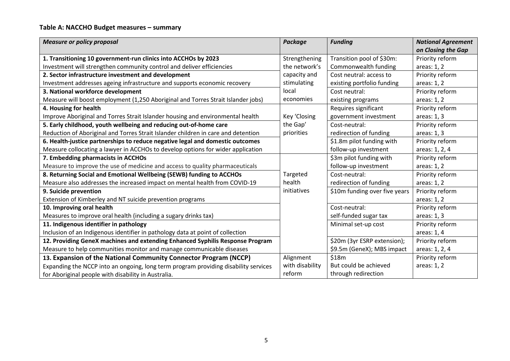# **Table A: NACCHO Budget measures – summary**

| <b>Measure or policy proposal</b>                                                   | <b>Package</b>                        | <b>Funding</b>                | <b>National Agreement</b> |
|-------------------------------------------------------------------------------------|---------------------------------------|-------------------------------|---------------------------|
|                                                                                     |                                       |                               | on Closing the Gap        |
| 1. Transitioning 10 government-run clinics into ACCHOs by 2023                      | Strengthening                         | Transition pool of \$30m:     | Priority reform           |
| Investment will strengthen community control and deliver efficiencies               | the network's                         | Commonwealth funding          | areas: 1, 2               |
| 2. Sector infrastructure investment and development                                 | capacity and                          | Cost neutral: access to       | Priority reform           |
| Investment addresses ageing infrastructure and supports economic recovery           | stimulating                           | existing portfolio funding    | areas: 1, 2               |
| 3. National workforce development                                                   | local                                 | Cost neutral:                 | Priority reform           |
| Measure will boost employment (1,250 Aboriginal and Torres Strait Islander jobs)    | economies                             | existing programs             | areas: 1, 2               |
| 4. Housing for health                                                               |                                       | Requires significant          | Priority reform           |
| Improve Aboriginal and Torres Strait Islander housing and environmental health      | Key 'Closing<br>government investment |                               | areas: 1, 3               |
| 5. Early childhood, youth wellbeing and reducing out-of-home care                   | the Gap'                              | Cost-neutral:                 | Priority reform           |
| Reduction of Aboriginal and Torres Strait Islander children in care and detention   | priorities                            | redirection of funding        | areas: 1, 3               |
| 6. Health-justice partnerships to reduce negative legal and domestic outcomes       |                                       | \$1.8m pilot funding with     | Priority reform           |
| Measure collocating a lawyer in ACCHOs to develop options for wider application     |                                       | follow-up investment          | areas: 1, 2, 4            |
| 7. Embedding pharmacists in ACCHOs                                                  |                                       | \$3m pilot funding with       | Priority reform           |
| Measure to improve the use of medicine and access to quality pharmaceuticals        |                                       | follow-up investment          | areas: 1, 2               |
| 8. Returning Social and Emotional Wellbeing (SEWB) funding to ACCHOs                | Targeted                              | Cost-neutral:                 | Priority reform           |
| Measure also addresses the increased impact on mental health from COVID-19          | health                                | redirection of funding        | areas: 1, 2               |
| 9. Suicide prevention                                                               | initiatives                           | \$10m funding over five years | Priority reform           |
| Extension of Kimberley and NT suicide prevention programs                           |                                       |                               | areas: 1, 2               |
| 10. Improving oral health                                                           |                                       | Cost-neutral:                 | Priority reform           |
| Measures to improve oral health (including a sugary drinks tax)                     |                                       | self-funded sugar tax         | areas: 1, 3               |
| 11. Indigenous identifier in pathology                                              |                                       | Minimal set-up cost           | Priority reform           |
| Inclusion of an Indigenous identifier in pathology data at point of collection      |                                       |                               | areas: 1, 4               |
| 12. Providing GeneX machines and extending Enhanced Syphilis Response Program       |                                       | \$20m (3yr ESRP extension);   | Priority reform           |
| Measure to help communities monitor and manage communicable diseases                |                                       | \$9.5m (GeneX); MBS impact    | areas: 1, 2, 4            |
| 13. Expansion of the National Community Connector Program (NCCP)                    | Alignment                             | \$18m                         | Priority reform           |
| Expanding the NCCP into an ongoing, long term program providing disability services | with disability                       | But could be achieved         | areas: 1, 2               |
| for Aboriginal people with disability in Australia.                                 | reform                                | through redirection           |                           |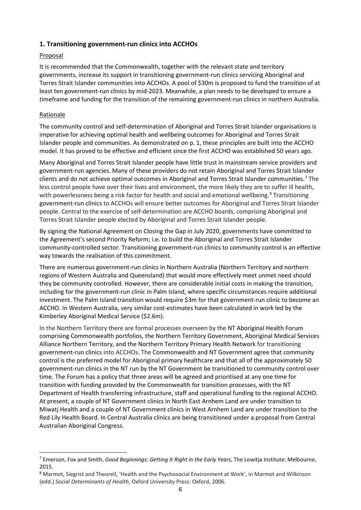## **1. Transitioning government-run clinics into ACCHOs**

## Proposal

It is recommended that the Commonwealth, together with the relevant state and territory governments, increase its support in transitioning government-run clinics servicing Aboriginal and Torres Strait Islander communities into ACCHOs. A pool of \$30m is proposed to fund the transition of at least ten government-run clinics by mid-2023. Meanwhile, a plan needs to be developed to ensure a timeframe and funding for the transition of the remaining government-run clinics in northern Australia.

## Rationale

The community control and self-determination of Aboriginal and Torres Strait Islander organisations is imperative for achieving optimal health and wellbeing outcomes for Aboriginal and Torres Strait Islander people and communities. As demonstrated on p. 1, these principles are built into the ACCHO model. It has proved to be effective and efficient since the first ACCHO was established 50 years ago.

Many Aboriginal and Torres Strait Islander people have little trust in mainstream service providers and government-run agencies. Many of these providers do not retain Aboriginal and Torres Strait Islander clients and do not achieve optimal outcomes in Aboriginal and Torres Strait Islander communities.<sup>[7](#page-6-0)</sup> The less control people have over their lives and environment, the more likely they are to suffer ill health, with powerlessness being a risk factor for health and social and emotional wellbeing.<sup>[8](#page-6-1)</sup> Transitioning government-run clinics to ACCHOs will ensure better outcomes for Aboriginal and Torres Strait Islander people. Central to the exercise of self-determination are ACCHO boards, comprising Aboriginal and Torres Strait Islander people elected by Aboriginal and Torres Strait Islander people.

By signing the National Agreement on Closing the Gap in July 2020, governments have committed to the Agreement's second Priority Reform; i.e. to build the Aboriginal and Torres Strait Islander community-controlled sector. Transitioning government-run clinics to community control is an effective way towards the realisation of this commitment.

There are numerous government-run clinics in Northern Australia (Northern Territory and northern regions of Western Australia and Queensland) that would more effectively meet unmet need should they be community controlled. However, there are considerable initial costs in making the transition, including for the government-run clinic in Palm Island, where specific circumstances require additional investment. The Palm Island transition would require \$3m for that government-run clinic to become an ACCHO. In Western Australia, very similar cost-estimates have been calculated in work led by the Kimberley Aboriginal Medical Service (\$2.6m).

In the Northern Territory there are formal processes overseen by the NT Aboriginal Health Forum comprising Commonwealth portfolios, the Northern Territory Government, Aboriginal Medical Services Alliance Northern Territory, and the Northern Territory Primary Health Network for transitioning government-run clinics into ACCHOs. The Commonwealth and NT Government agree that community control is the preferred model for Aboriginal primary healthcare and that all of the approximately 50 government-run clinics in the NT run by the NT Government be transitioned to community control over time. The Forum has a policy that three areas will be agreed and prioritised at any one time for transition with funding provided by the Commonwealth for transition processes, with the NT Department of Health transferring infrastructure, staff and operational funding to the regional ACCHO. At present, a couple of NT Government clinics in North East Arnhem Land are under transition to Miwatj Health and a couple of NT Government clinics in West Arnhem Land are under transition to the Red Lily Health Board. In Central Australia clinics are being transitioned under a proposal from Central Australian Aboriginal Congress.

<span id="page-6-0"></span><sup>7</sup> Emerson, Fox and Smith, *Good Beginnings: Getting It Right in the Early Years,* The Lowitja Institute: Melbourne, 2015.

<span id="page-6-1"></span><sup>&</sup>lt;sup>8</sup> Marmot, Siegrist and Theorell, 'Health and the Psychosocial Environment at Work', in Marmot and Wilkinson (edd.) *Social Determinants of Health*, Oxford University Press: Oxford, 2006.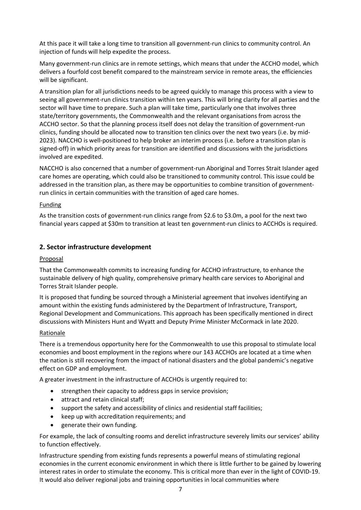At this pace it will take a long time to transition all government-run clinics to community control. An injection of funds will help expedite the process.

Many government-run clinics are in remote settings, which means that under the ACCHO model, which delivers a fourfold cost benefit compared to the mainstream service in remote areas, the efficiencies will be significant.

A transition plan for all jurisdictions needs to be agreed quickly to manage this process with a view to seeing all government-run clinics transition within ten years. This will bring clarity for all parties and the sector will have time to prepare. Such a plan will take time, particularly one that involves three state/territory governments, the Commonwealth and the relevant organisations from across the ACCHO sector. So that the planning process itself does not delay the transition of government-run clinics, funding should be allocated now to transition ten clinics over the next two years (i.e. by mid-2023). NACCHO is well-positioned to help broker an interim process (i.e. before a transition plan is signed-off) in which priority areas for transition are identified and discussions with the jurisdictions involved are expedited.

NACCHO is also concerned that a number of government-run Aboriginal and Torres Strait Islander aged care homes are operating, which could also be transitioned to community control. This issue could be addressed in the transition plan, as there may be opportunities to combine transition of governmentrun clinics in certain communities with the transition of aged care homes.

#### Funding

As the transition costs of government-run clinics range from \$2.6 to \$3.0m, a pool for the next two financial years capped at \$30m to transition at least ten government-run clinics to ACCHOs is required.

## **2. Sector infrastructure development**

#### Proposal

That the Commonwealth commits to increasing funding for ACCHO infrastructure, to enhance the sustainable delivery of high quality, comprehensive primary health care services to Aboriginal and Torres Strait Islander people.

It is proposed that funding be sourced through a Ministerial agreement that involves identifying an amount within the existing funds administered by the Department of Infrastructure, Transport, Regional Development and Communications. This approach has been specifically mentioned in direct discussions with Ministers Hunt and Wyatt and Deputy Prime Minister McCormack in late 2020.

#### Rationale

There is a tremendous opportunity here for the Commonwealth to use this proposal to stimulate local economies and boost employment in the regions where our 143 ACCHOs are located at a time when the nation is still recovering from the impact of national disasters and the global pandemic's negative effect on GDP and employment.

A greater investment in the infrastructure of ACCHOs is urgently required to:

- strengthen their capacity to address gaps in service provision;
- attract and retain clinical staff;
- support the safety and accessibility of clinics and residential staff facilities;
- keep up with accreditation requirements; and
- generate their own funding.

For example, the lack of consulting rooms and derelict infrastructure severely limits our services' ability to function effectively.

Infrastructure spending from existing funds represents a powerful means of stimulating regional economies in the current economic environment in which there is little further to be gained by lowering interest rates in order to stimulate the economy. This is critical more than ever in the light of COVID-19. It would also deliver regional jobs and training opportunities in local communities where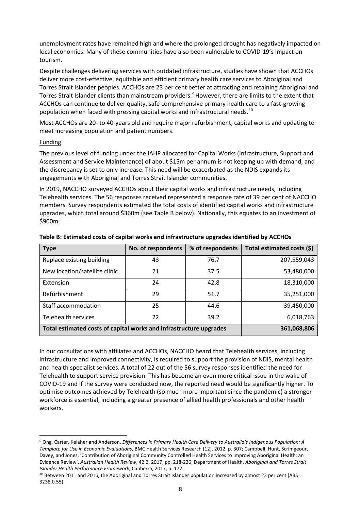unemployment rates have remained high and where the prolonged drought has negatively impacted on local economies. Many of these communities have also been vulnerable to COVID-19's impact on tourism.

Despite challenges delivering services with outdated infrastructure, studies have shown that ACCHOs deliver more cost-effective, equitable and efficient primary health care services to Aboriginal and Torres Strait Islander peoples. ACCHOs are 23 per cent better at attracting and retaining Aboriginal and Torres Strait Islander clients than mainstream providers.<sup>[9](#page-8-0)</sup> However, there are limits to the extent that ACCHOs can continue to deliver quality, safe comprehensive primary health care to a fast-growing population when faced with pressing capital works and infrastructural needs.<sup>[10](#page-8-1)</sup>

Most ACCHOs are 20- to 40-years old and require major refurbishment, capital works and updating to meet increasing population and patient numbers.

#### Funding

The previous level of funding under the IAHP allocated for Capital Works (Infrastructure, Support and Assessment and Service Maintenance) of about \$15m per annum is not keeping up with demand, and the discrepancy is set to only increase. This need will be exacerbated as the NDIS expands its engagements with Aboriginal and Torres Strait Islander communities.

In 2019, NACCHO surveyed ACCHOs about their capital works and infrastructure needs, including Telehealth services. The 56 responses received represented a response rate of 39 per cent of NACCHO members. Survey respondents estimated the total costs of identified capital works and infrastructure upgrades, which total around \$360m (see Table B below). Nationally, this equates to an investment of \$900m.

| <b>Type</b>                                                        | No. of respondents | % of respondents | Total estimated costs (\$) |
|--------------------------------------------------------------------|--------------------|------------------|----------------------------|
| Replace existing building                                          | 43                 | 76.7             | 207,559,043                |
| New location/satellite clinic                                      | 21                 | 37.5             | 53,480,000                 |
| Extension                                                          | 24                 | 42.8             | 18,310,000                 |
| Refurbishment                                                      | 29                 | 51.7             | 35,251,000                 |
| Staff accommodation                                                | 25                 | 44.6             | 39,450,000                 |
| <b>Telehealth services</b>                                         | 22                 | 39.2             | 6,018,763                  |
| Total estimated costs of capital works and infrastructure upgrades |                    |                  | 361,068,806                |

**Table B: Estimated costs of capital works and infrastructure upgrades identified by ACCHOs**

In our consultations with affiliates and ACCHOs, NACCHO heard that Telehealth services, including infrastructure and improved connectivity, is required to support the provision of NDIS, mental health and health specialist services. A total of 22 out of the 56 survey responses identified the need for Telehealth to support service provision. This has become an even more critical issue in the wake of COVID-19 and if the survey were conducted now, the reported need would be significantly higher. To optimise outcomes achieved by Telehealth (so much more important since the pandemic) a stronger workforce is essential, including a greater presence of allied health professionals and other health workers.

<span id="page-8-0"></span><sup>9</sup> Ong, Carter, Kelaher and Anderson, *Differences in Primary Health Care Delivery to Australia's Indigenous Population: A Template for Use in Economic Evaluations*, BMC Health Services Research (12), 2012, p. 307; Campbell, Hunt, Scrimgeour, Davey, and Jones, 'Contribution of Aboriginal Community Controlled Health Services to Improving Aboriginal Health: an Evidence Review', *Australian Health Review*, 42.2, 2017, pp. 218-226; Department of Health, *Aboriginal and Torres Strait Islander Health Performance Framework*, Canberra, 2017, p. 172.

<span id="page-8-1"></span><sup>10</sup> Between 2011 and 2016, the Aboriginal and Torres Strait Islander population increased by almost 23 per cent (ABS 3238.0.55).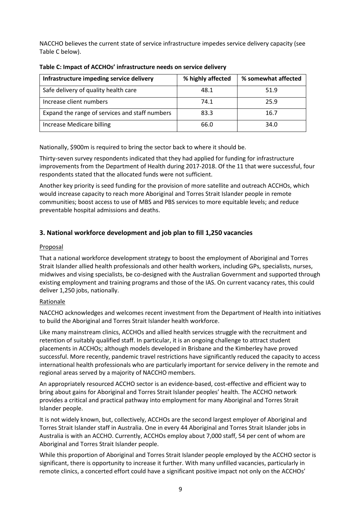NACCHO believes the current state of service infrastructure impedes service delivery capacity (see Table C below).

| Infrastructure impeding service delivery       | % highly affected | % somewhat affected |
|------------------------------------------------|-------------------|---------------------|
| Safe delivery of quality health care           | 48.1              | 51.9                |
| Increase client numbers                        | 74.1              | 25.9                |
| Expand the range of services and staff numbers | 83.3              | 16.7                |
| Increase Medicare billing                      | 66.0              | 34.0                |

**Table C: Impact of ACCHOs' infrastructure needs on service delivery**

Nationally, \$900m is required to bring the sector back to where it should be.

Thirty-seven survey respondents indicated that they had applied for funding for infrastructure improvements from the Department of Health during 2017-2018. Of the 11 that were successful, four respondents stated that the allocated funds were not sufficient.

Another key priority is seed funding for the provision of more satellite and outreach ACCHOs, which would increase capacity to reach more Aboriginal and Torres Strait Islander people in remote communities; boost access to use of MBS and PBS services to more equitable levels; and reduce preventable hospital admissions and deaths.

# **3. National workforce development and job plan to fill 1,250 vacancies**

## **Proposal**

That a national workforce development strategy to boost the employment of Aboriginal and Torres Strait Islander allied health professionals and other health workers, including GPs, specialists, nurses, midwives and vising specialists, be co-designed with the Australian Government and supported through existing employment and training programs and those of the IAS. On current vacancy rates, this could deliver 1,250 jobs, nationally.

## Rationale

NACCHO acknowledges and welcomes recent investment from the Department of Health into initiatives to build the Aboriginal and Torres Strait Islander health workforce.

Like many mainstream clinics, ACCHOs and allied health services struggle with the recruitment and retention of suitably qualified staff. In particular, it is an ongoing challenge to attract student placements in ACCHOs; although models developed in Brisbane and the Kimberley have proved successful. More recently, pandemic travel restrictions have significantly reduced the capacity to access international health professionals who are particularly important for service delivery in the remote and regional areas served by a majority of NACCHO members.

An appropriately resourced ACCHO sector is an evidence-based, cost-effective and efficient way to bring about gains for Aboriginal and Torres Strait Islander peoples' health. The ACCHO network provides a critical and practical pathway into employment for many Aboriginal and Torres Strait Islander people.

It is not widely known, but, collectively, ACCHOs are the second largest employer of Aboriginal and Torres Strait Islander staff in Australia. One in every 44 Aboriginal and Torres Strait Islander jobs in Australia is with an ACCHO. Currently, ACCHOs employ about 7,000 staff, 54 per cent of whom are Aboriginal and Torres Strait Islander people.

While this proportion of Aboriginal and Torres Strait Islander people employed by the ACCHO sector is significant, there is opportunity to increase it further. With many unfilled vacancies, particularly in remote clinics, a concerted effort could have a significant positive impact not only on the ACCHOs'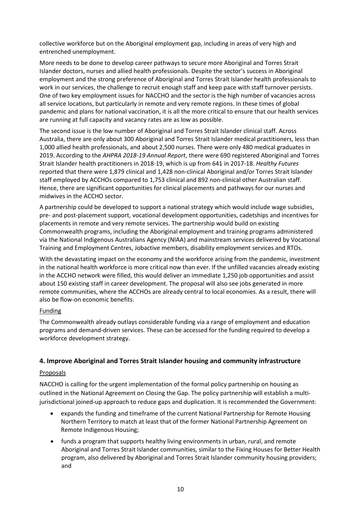collective workforce but on the Aboriginal employment gap, including in areas of very high and entrenched unemployment.

More needs to be done to develop career pathways to secure more Aboriginal and Torres Strait Islander doctors, nurses and allied health professionals. Despite the sector's success in Aboriginal employment and the strong preference of Aboriginal and Torres Strait Islander health professionals to work in our services, the challenge to recruit enough staff and keep pace with staff turnover persists. One of two key employment issues for NACCHO and the sector is the high number of vacancies across all service locations, but particularly in remote and very remote regions. In these times of global pandemic and plans for national vaccination, it is all the more critical to ensure that our health services are running at full capacity and vacancy rates are as low as possible.

The second issue is the low number of Aboriginal and Torres Strait Islander clinical staff. Across Australia, there are only about 300 Aboriginal and Torres Strait Islander medical practitioners, less than 1,000 allied health professionals, and about 2,500 nurses. There were only 480 medical graduates in 2019. According to the *AHPRA 2018-19 Annual Report*, there were 690 registered Aboriginal and Torres Strait Islander health practitioners in 2018-19, which is up from 641 in 2017-18. *Healthy Futures* reported that there were 1,879 clinical and 1,428 non-clinical Aboriginal and/or Torres Strait Islander staff employed by ACCHOs compared to 1,753 clinical and 892 non-clinical other Australian staff. Hence, there are significant opportunities for clinical placements and pathways for our nurses and midwives in the ACCHO sector.

A partnership could be developed to support a national strategy which would include wage subsidies, pre- and post-placement support, vocational development opportunities, cadetships and incentives for placements in remote and very remote services. The partnership would build on existing Commonwealth programs, including the Aboriginal employment and training programs administered via the National Indigenous Australians Agency (NIAA) and mainstream services delivered by Vocational Training and Employment Centres, Jobactive members, disability employment services and RTOs.

With the devastating impact on the economy and the workforce arising from the pandemic, investment in the national health workforce is more critical now than ever. If the unfilled vacancies already existing in the ACCHO network were filled, this would deliver an immediate 1,250 job opportunities and assist about 150 existing staff in career development. The proposal will also see jobs generated in more remote communities, where the ACCHOs are already central to local economies. As a result, there will also be flow-on economic benefits.

#### Funding

The Commonwealth already outlays considerable funding via a range of employment and education programs and demand-driven services. These can be accessed for the funding required to develop a workforce development strategy.

## **4. Improve Aboriginal and Torres Strait Islander housing and community infrastructure**

#### **Proposals**

NACCHO is calling for the urgent implementation of the formal policy partnership on housing as outlined in the National Agreement on Closing the Gap. The policy partnership will establish a multijurisdictional joined-up approach to reduce gaps and duplication. It is recommended the Government:

- expands the funding and timeframe of the current National Partnership for Remote Housing Northern Territory to match at least that of the former National Partnership Agreement on Remote Indigenous Housing;
- funds a program that supports healthy living environments in urban, rural, and remote Aboriginal and Torres Strait Islander communities, similar to the Fixing Houses for Better Health program, also delivered by Aboriginal and Torres Strait Islander community housing providers; and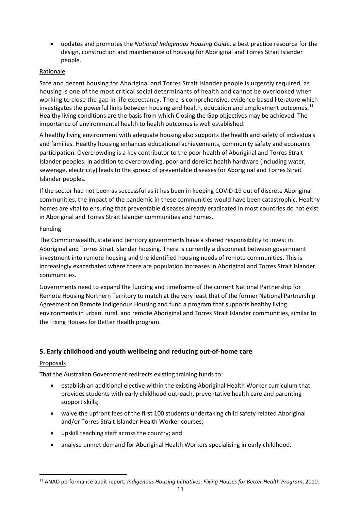• updates and promotes the *National Indigenous Housing Guide*, a best practice resource for the design, construction and maintenance of housing for Aboriginal and Torres Strait Islander people.

## Rationale

Safe and decent housing for Aboriginal and Torres Strait Islander people is urgently required, as housing is one of the most critical social determinants of health and cannot be overlooked when working to close the gap in life expectancy. There is comprehensive, evidence-based literature which investigates the powerful links between housing and health, education and employment outcomes.<sup>[11](#page-11-0)</sup> Healthy living conditions are the basis from which Closing the Gap objectives may be achieved. The importance of environmental health to health outcomes is well established.

A healthy living environment with adequate housing also supports the health and safety of individuals and families. Healthy housing enhances educational achievements, community safety and economic participation. Overcrowding is a key contributor to the poor health of Aboriginal and Torres Strait Islander peoples. In addition to overcrowding, poor and derelict health hardware (including water, sewerage, electricity) leads to the spread of preventable diseases for Aboriginal and Torres Strait Islander peoples.

If the sector had not been as successful as it has been in keeping COVID-19 out of discrete Aboriginal communities, the impact of the pandemic in these communities would have been catastrophic. Healthy homes are vital to ensuring that preventable diseases already eradicated in most countries do not exist in Aboriginal and Torres Strait Islander communities and homes.

## Funding

The Commonwealth, state and territory governments have a shared responsibility to invest in Aboriginal and Torres Strait Islander housing. There is currently a disconnect between government investment into remote housing and the identified housing needs of remote communities. This is increasingly exacerbated where there are population increases in Aboriginal and Torres Strait Islander communities.

Governments need to expand the funding and timeframe of the current National Partnership for Remote Housing Northern Territory to match at the very least that of the former National Partnership Agreement on Remote Indigenous Housing and fund a program that supports healthy living environments in urban, rural, and remote Aboriginal and Torres Strait Islander communities, similar to the Fixing Houses for Better Health program.

# **5. Early childhood and youth wellbeing and reducing out-of-home care**

# Proposals

That the Australian Government redirects existing training funds to:

- establish an additional elective within the existing Aboriginal Health Worker curriculum that provides students with early childhood outreach, preventative health care and parenting support skills;
- waive the upfront fees of the first 100 students undertaking child safety related Aboriginal and/or Torres Strait Islander Health Worker courses;
- upskill teaching staff across the country; and
- analyse unmet demand for Aboriginal Health Workers specialising in early childhood.

<span id="page-11-0"></span><sup>11</sup> ANAO performance audit report, *Indigenous Housing Initiatives: Fixing Houses for Better Health Program*, 2010.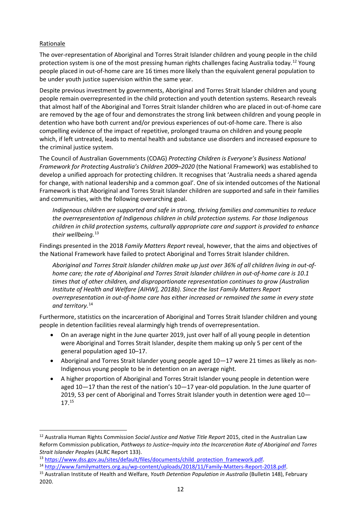#### Rationale

The over-representation of Aboriginal and Torres Strait Islander children and young people in the child protection system is one of the most pressing human rights challenges facing Australia today.<sup>[12](#page-12-0)</sup> Young people placed in out-of-home care are 16 times more likely than the equivalent general population to be under youth justice supervision within the same year.

Despite previous investment by governments, Aboriginal and Torres Strait Islander children and young people remain overrepresented in the child protection and youth detention systems. Research reveals that almost half of the Aboriginal and Torres Strait Islander children who are placed in out-of-home care are removed by the age of four and demonstrates the strong link between children and young people in detention who have both current and/or previous experiences of out-of-home care. There is also compelling evidence of the impact of repetitive, prolonged trauma on children and young people which, if left untreated, leads to mental health and substance use disorders and increased exposure to the criminal justice system.

The Council of Australian Governments (COAG) *Protecting Children is Everyone's Business National Framework for Protecting Australia's Children 2009–2020* (the National Framework) was established to develop a unified approach for protecting children. It recognises that 'Australia needs a shared agenda for change, with national leadership and a common goal'. One of six intended outcomes of the National Framework is that Aboriginal and Torres Strait Islander children are supported and safe in their families and communities, with the following overarching goal.

*Indigenous children are supported and safe in strong, thriving families and communities to reduce the overrepresentation of Indigenous children in child protection systems. For those Indigenous children in child protection systems, culturally appropriate care and support is provided to enhance their wellbeing.*[13](#page-12-1)

Findings presented in the 2018 *Family Matters Report* reveal, however, that the aims and objectives of the National Framework have failed to protect Aboriginal and Torres Strait Islander children.

*Aboriginal and Torres Strait Islander children make up just over 36% of all children living in out-ofhome care; the rate of Aboriginal and Torres Strait Islander children in out-of-home care is 10.1 times that of other children, and disproportionate representation continues to grow (Australian Institute of Health and Welfare [AIHW], 2018b). Since the last Family Matters Report overrepresentation in out-of-home care has either increased or remained the same in every state and territory.*[14](#page-12-2)

Furthermore, statistics on the incarceration of Aboriginal and Torres Strait Islander children and young people in detention facilities reveal alarmingly high trends of overrepresentation.

- On an average night in the June quarter 2019, just over half of all young people in detention were Aboriginal and Torres Strait Islander, despite them making up only 5 per cent of the general population aged 10–17.
- Aboriginal and Torres Strait Islander young people aged 10—17 were 21 times as likely as non-Indigenous young people to be in detention on an average night.
- A higher proportion of Aboriginal and Torres Strait Islander young people in detention were aged 10—17 than the rest of the nation's 10—17 year-old population. In the June quarter of 2019, 53 per cent of Aboriginal and Torres Strait Islander youth in detention were aged 10— 17.[15](#page-12-3)

<span id="page-12-0"></span><sup>12</sup> Australia Human Rights Commission *Social Justice and Native Title Report* 2015, cited in the Australian Law Reform Commission publication, *[Pathways to Justice–Inquiry into the Incarceration Rate of Aboriginal and Torres](https://www.alrc.gov.au/publications/indigenous-incarceration-report133)  [Strait Islander Peoples](https://www.alrc.gov.au/publications/indigenous-incarceration-report133)* (ALRC Report 133).

<span id="page-12-1"></span><sup>13</sup> [https://www.dss.gov.au/sites/default/files/documents/child\\_protection\\_framework.pdf.](https://www.dss.gov.au/sites/default/files/documents/child_protection_framework.pdf)

<span id="page-12-3"></span><span id="page-12-2"></span><sup>14</sup> [http://www.familymatters.org.au/wp-content/uploads/2018/11/Family-Matters-Report-2018.pdf.](http://www.familymatters.org.au/wp-content/uploads/2018/11/Family-Matters-Report-2018.pdf)

<sup>15</sup> Australian Institute of Health and Welfare, *Youth Detention Population in Australia* (Bulletin 148), February 2020.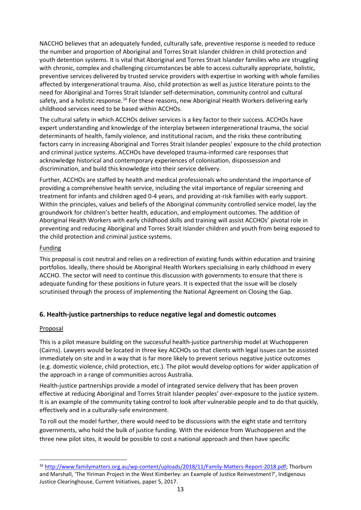NACCHO believes that an adequately funded, culturally safe, preventive response is needed to reduce the number and proportion of Aboriginal and Torres Strait Islander children in child protection and youth detention systems. It is vital that Aboriginal and Torres Strait Islander families who are struggling with chronic, complex and challenging circumstances be able to access culturally appropriate, holistic, preventive services delivered by trusted service providers with expertise in working with whole families affected by intergenerational trauma. Also, child protection as well as justice literature points to the need for Aboriginal and Torres Strait Islander self-determination, community control and cultural safety, and a holistic response.<sup>[16](#page-13-0)</sup> For these reasons, new Aboriginal Health Workers delivering early childhood services need to be based within ACCHOs.

The cultural safety in which ACCHOs deliver services is a key factor to their success. ACCHOs have expert understanding and knowledge of the interplay between intergenerational trauma, the social determinants of health, family violence, and institutional racism, and the risks these contributing factors carry in increasing Aboriginal and Torres Strait Islander peoples' exposure to the child protection and criminal justice systems. ACCHOs have developed trauma-informed care responses that acknowledge historical and contemporary experiences of colonisation, dispossession and discrimination, and build this knowledge into their service delivery.

Further, ACCHOs are staffed by health and medical professionals who understand the importance of providing a comprehensive health service, including the vital importance of regular screening and treatment for infants and children aged 0-4 years, and providing at-risk families with early support. Within the principles, values and beliefs of the Aboriginal community controlled service model, lay the groundwork for children's better health, education, and employment outcomes. The addition of Aboriginal Health Workers with early childhood skills and training will assist ACCHOs' pivotal role in preventing and reducing Aboriginal and Torres Strait Islander children and youth from being exposed to the child protection and criminal justice systems.

## **Funding**

This proposal is cost neutral and relies on a redirection of existing funds within education and training portfolios. Ideally, there should be Aboriginal Health Workers specialising in early childhood in every ACCHO. The sector will need to continue this discussion with governments to ensure that there is adequate funding for these positions in future years. It is expected that the issue will be closely scrutinised through the process of implementing the National Agreement on Closing the Gap.

# **6. Health-justice partnerships to reduce negative legal and domestic outcomes**

## **Proposal**

This is a pilot measure building on the successful health-justice partnership model at Wuchopperen (Cairns). Lawyers would be located in three key ACCHOs so that clients with legal issues can be assisted immediately on site and in a way that is far more likely to prevent serious negative justice outcomes (e.g. domestic violence, child protection, etc.). The pilot would develop options for wider application of the approach in a range of communities across Australia.

Health-justice partnerships provide a model of integrated service delivery that has been proven effective at reducing Aboriginal and Torres Strait Islander peoples' over-exposure to the justice system. It is an example of the community taking control to look after vulnerable people and to do that quickly, effectively and in a culturally-safe environment.

To roll out the model further, there would need to be discussions with the eight state and territory governments, who hold the bulk of justice funding. With the evidence from Wuchopperen and the three new pilot sites, it would be possible to cost a national approach and then have specific

<span id="page-13-0"></span><sup>16</sup> [http://www.familymatters.org.au/wp-content/uploads/2018/11/Family-Matters-Report-2018.pdf;](http://www.familymatters.org.au/wp-content/uploads/2018/11/Family-Matters-Report-2018.pdf) Thorburn and Marshall, 'The Yiriman Project in the West Kimberley: an Example of Justice Reinvestment?', Indigenous Justice Clearinghouse, Current Initiatives, paper 5, 2017.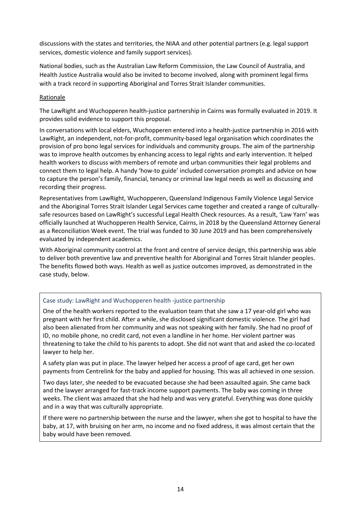discussions with the states and territories, the NIAA and other potential partners (e.g. legal support services, domestic violence and family support services).

National bodies, such as the Australian Law Reform Commission, the Law Council of Australia, and Health Justice Australia would also be invited to become involved, along with prominent legal firms with a track record in supporting Aboriginal and Torres Strait Islander communities.

#### Rationale

The LawRight and Wuchopperen health-justice partnership in Cairns was formally evaluated in 2019. It provides solid evidence to support this proposal.

In conversations with local elders, Wuchopperen entered into a health-justice partnership in 2016 with LawRight, an independent, not-for-profit, community-based legal organisation which coordinates the provision of pro bono legal services for individuals and community groups. The aim of the partnership was to improve health outcomes by enhancing access to legal rights and early intervention. It helped health workers to discuss with members of remote and urban communities their legal problems and connect them to legal help. A handy 'how-to guide' included conversation prompts and advice on how to capture the person's family, financial, tenancy or criminal law legal needs as well as discussing and recording their progress.

Representatives from LawRight, Wuchopperen, Queensland Indigenous Family Violence Legal Service and the Aboriginal Torres Strait Islander Legal Services came together and created a range of culturallysafe resources based on LawRight's successful Legal Health Check resources. As a result, 'Law Yarn' was officially launched at Wuchopperen Health Service, Cairns, in 2018 by the Queensland Attorney General as a Reconciliation Week event. The trial was funded to 30 June 2019 and has been comprehensively evaluated by independent academics.

With Aboriginal community control at the front and centre of service design, this partnership was able to deliver both preventive law and preventive health for Aboriginal and Torres Strait Islander peoples. The benefits flowed both ways. Health as well as justice outcomes improved, as demonstrated in the case study, below.

#### Case study: LawRight and Wuchopperen health -justice partnership

One of the health workers reported to the evaluation team that she saw a 17 year-old girl who was pregnant with her first child. After a while, she disclosed significant domestic violence. The girl had also been alienated from her community and was not speaking with her family. She had no proof of ID, no mobile phone, no credit card, not even a landline in her home. Her violent partner was threatening to take the child to his parents to adopt. She did not want that and asked the co-located lawyer to help her.

A safety plan was put in place. The lawyer helped her access a proof of age card, get her own payments from Centrelink for the baby and applied for housing. This was all achieved in one session.

Two days later, she needed to be evacuated because she had been assaulted again. She came back and the lawyer arranged for fast-track income support payments. The baby was coming in three weeks. The client was amazed that she had help and was very grateful. Everything was done quickly and in a way that was culturally appropriate.

If there were no partnership between the nurse and the lawyer, when she got to hospital to have the baby, at 17, with bruising on her arm, no income and no fixed address, it was almost certain that the baby would have been removed.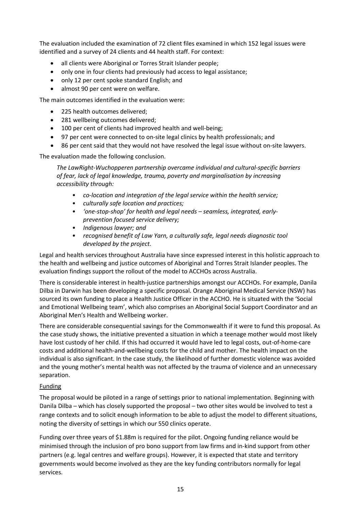The evaluation included the examination of 72 client files examined in which 152 legal issues were identified and a survey of 24 clients and 44 health staff. For context:

- all clients were Aboriginal or Torres Strait Islander people;
- only one in four clients had previously had access to legal assistance;
- only 12 per cent spoke standard English; and
- almost 90 per cent were on welfare.

The main outcomes identified in the evaluation were:

- 225 health outcomes delivered:
- 281 wellbeing outcomes delivered;
- 100 per cent of clients had improved health and well-being;
- 97 per cent were connected to on-site legal clinics by health professionals; and
- 86 per cent said that they would not have resolved the legal issue without on-site lawyers.

The evaluation made the following conclusion.

*The LawRight-Wuchopperen partnership overcame individual and cultural-specific barriers of fear, lack of legal knowledge, trauma, poverty and marginalisation by increasing accessibility through:*

- *co-location and integration of the legal service within the health service;*
- *culturally safe location and practices;*
- *'one-stop-shop' for health and legal needs – seamless, integrated, earlyprevention focused service delivery;*
- *Indigenous lawyer; and*
- *recognised benefit of Law Yarn, a culturally safe, legal needs diagnostic tool developed by the project.*

Legal and health services throughout Australia have since expressed interest in this holistic approach to the health and wellbeing and justice outcomes of Aboriginal and Torres Strait Islander peoples. The evaluation findings support the rollout of the model to ACCHOs across Australia.

There is considerable interest in health-justice partnerships amongst our ACCHOs. For example, Danila Dilba in Darwin has been developing a specific proposal. Orange Aboriginal Medical Service (NSW) has sourced its own funding to place a Health Justice Officer in the ACCHO. He is situated with the 'Social and Emotional Wellbeing team', which also comprises an Aboriginal Social Support Coordinator and an Aboriginal Men's Health and Wellbeing worker.

There are considerable consequential savings for the Commonwealth if it were to fund this proposal. As the case study shows, the initiative prevented a situation in which a teenage mother would most likely have lost custody of her child. If this had occurred it would have led to legal costs, out-of-home-care costs and additional health-and-wellbeing costs for the child and mother. The health impact on the individual is also significant. In the case study, the likelihood of further domestic violence was avoided and the young mother's mental health was not affected by the trauma of violence and an unnecessary separation.

## Funding

The proposal would be piloted in a range of settings prior to national implementation. Beginning with Danila Dilba – which has closely supported the proposal – two other sites would be involved to test a range contexts and to solicit enough information to be able to adjust the model to different situations, noting the diversity of settings in which our 550 clinics operate.

Funding over three years of \$1.88m is required for the pilot. Ongoing funding reliance would be minimised through the inclusion of pro bono support from law firms and in-kind support from other partners (e.g. legal centres and welfare groups). However, it is expected that state and territory governments would become involved as they are the key funding contributors normally for legal services.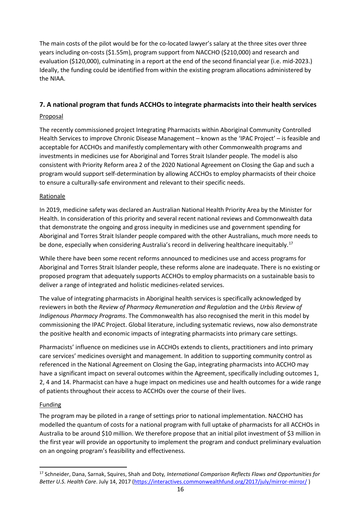The main costs of the pilot would be for the co-located lawyer's salary at the three sites over three years including on-costs (\$1.55m), program support from NACCHO (\$210,000) and research and evaluation (\$120,000), culminating in a report at the end of the second financial year (i.e. mid-2023.) Ideally, the funding could be identified from within the existing program allocations administered by the NIAA.

# **7. A national program that funds ACCHOs to integrate pharmacists into their health services**

## Proposal

The recently commissioned project Integrating Pharmacists within Aboriginal Community Controlled Health Services to improve Chronic Disease Management – known as the 'IPAC Project' – is feasible and acceptable for ACCHOs and manifestly complementary with other Commonwealth programs and investments in medicines use for Aboriginal and Torres Strait Islander people. The model is also consistent with Priority Reform area 2 of the 2020 National Agreement on Closing the Gap and such a program would support self-determination by allowing ACCHOs to employ pharmacists of their choice to ensure a culturally-safe environment and relevant to their specific needs.

## Rationale

In 2019, medicine safety was declared an Australian National Health Priority Area by the Minister for Health. In consideration of this priority and several recent national reviews and Commonwealth data that demonstrate the ongoing and gross inequity in medicines use and government spending for Aboriginal and Torres Strait Islander people compared with the other Australians, much more needs to be done, especially when considering Australia's record in delivering healthcare inequitably.<sup>[17](#page-16-0)</sup>

While there have been some recent reforms announced to medicines use and access programs for Aboriginal and Torres Strait Islander people, these reforms alone are inadequate. There is no existing or proposed program that adequately supports ACCHOs to employ pharmacists on a sustainable basis to deliver a range of integrated and holistic medicines-related services.

The value of integrating pharmacists in Aboriginal health services is specifically acknowledged by reviewers in both the *Review of Pharmacy Remuneration and Regulation* and the *Urbis Review of Indigenous Pharmacy Programs*. The Commonwealth has also recognised the merit in this model by commissioning the IPAC Project. Global literature, including systematic reviews, now also demonstrate the positive health and economic impacts of integrating pharmacists into primary care settings.

Pharmacists' influence on medicines use in ACCHOs extends to clients, practitioners and into primary care services' medicines oversight and management. In addition to supporting community control as referenced in the National Agreement on Closing the Gap, integrating pharmacists into ACCHO may have a significant impact on several outcomes within the Agreement, specifically including outcomes 1, 2, 4 and 14. Pharmacist can have a huge impact on medicines use and health outcomes for a wide range of patients throughout their access to ACCHOs over the course of their lives.

## Funding

The program may be piloted in a range of settings prior to national implementation. NACCHO has modelled the quantum of costs for a national program with full uptake of pharmacists for all ACCHOs in Australia to be around \$10 million. We therefore propose that an initial pilot investment of \$3 million in the first year will provide an opportunity to implement the program and conduct preliminary evaluation on an ongoing program's feasibility and effectiveness.

<span id="page-16-0"></span><sup>17</sup> Schneider, Dana, Sarnak, Squires, Shah and Doty*, International Comparison Reflects Flaws and Opportunities for Better U.S. Health Care*. July 14, 2017 [\(https://interactives.commonwealthfund.org/2017/july/mirror-mirror/](https://interactives.commonwealthfund.org/2017/july/mirror-mirror/) )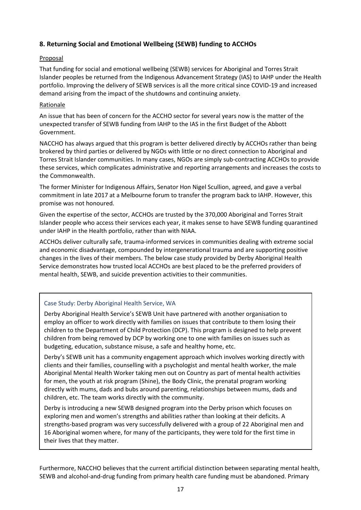# **8. Returning Social and Emotional Wellbeing (SEWB) funding to ACCHOs**

## Proposal

That funding for social and emotional wellbeing (SEWB) services for Aboriginal and Torres Strait Islander peoples be returned from the Indigenous Advancement Strategy (IAS) to IAHP under the Health portfolio. Improving the delivery of SEWB services is all the more critical since COVID-19 and increased demand arising from the impact of the shutdowns and continuing anxiety.

#### Rationale

An issue that has been of concern for the ACCHO sector for several years now is the matter of the unexpected transfer of SEWB funding from IAHP to the IAS in the first Budget of the Abbott Government.

NACCHO has always argued that this program is better delivered directly by ACCHOs rather than being brokered by third parties or delivered by NGOs with little or no direct connection to Aboriginal and Torres Strait Islander communities. In many cases, NGOs are simply sub-contracting ACCHOs to provide these services, which complicates administrative and reporting arrangements and increases the costs to the Commonwealth.

The former Minister for Indigenous Affairs, Senator Hon Nigel Scullion, agreed, and gave a verbal commitment in late 2017 at a Melbourne forum to transfer the program back to IAHP. However, this promise was not honoured.

Given the expertise of the sector, ACCHOs are trusted by the 370,000 Aboriginal and Torres Strait Islander people who access their services each year, it makes sense to have SEWB funding quarantined under IAHP in the Health portfolio, rather than with NIAA.

ACCHOs deliver culturally safe, trauma-informed services in communities dealing with extreme social and economic disadvantage, compounded by intergenerational trauma and are supporting positive changes in the lives of their members. The below case study provided by Derby Aboriginal Health Service demonstrates how trusted local ACCHOs are best placed to be the preferred providers of mental health, SEWB, and suicide prevention activities to their communities.

## Case Study: Derby Aboriginal Health Service, WA

Derby Aboriginal Health Service's SEWB Unit have partnered with another organisation to employ an officer to work directly with families on issues that contribute to them losing their children to the Department of Child Protection (DCP). This program is designed to help prevent children from being removed by DCP by working one to one with families on issues such as budgeting, education, substance misuse, a safe and healthy home, etc.

Derby's SEWB unit has a community engagement approach which involves working directly with clients and their families, counselling with a psychologist and mental health worker, the male Aboriginal Mental Health Worker taking men out on Country as part of mental health activities for men, the youth at risk program (Shine), the Body Clinic, the prenatal program working directly with mums, dads and bubs around parenting, relationships between mums, dads and children, etc. The team works directly with the community.

Derby is introducing a new SEWB designed program into the Derby prison which focuses on exploring men and women's strengths and abilities rather than looking at their deficits. A strengths-based program was very successfully delivered with a group of 22 Aboriginal men and 16 Aboriginal women where, for many of the participants, they were told for the first time in their lives that they matter.

Furthermore, NACCHO believes that the current artificial distinction between separating mental health, SEWB and alcohol-and-drug funding from primary health care funding must be abandoned. Primary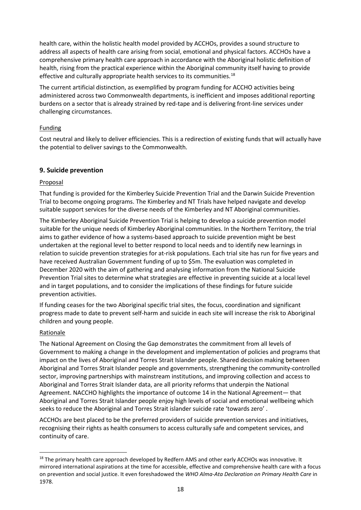health care, within the holistic health model provided by ACCHOs, provides a sound structure to address all aspects of health care arising from social, emotional and physical factors. ACCHOs have a comprehensive primary health care approach in accordance with the Aboriginal holistic definition of health, rising from the practical experience within the Aboriginal community itself having to provide effective and culturally appropriate health services to its communities.<sup>[18](#page-18-0)</sup>

The current artificial distinction, as exemplified by program funding for ACCHO activities being administered across two Commonwealth departments, is inefficient and imposes additional reporting burdens on a sector that is already strained by red-tape and is delivering front-line services under challenging circumstances.

## **Funding**

Cost neutral and likely to deliver efficiencies. This is a redirection of existing funds that will actually have the potential to deliver savings to the Commonwealth.

## **9. Suicide prevention**

## Proposal

That funding is provided for the Kimberley Suicide Prevention Trial and the Darwin Suicide Prevention Trial to become ongoing programs. The Kimberley and NT Trials have helped navigate and develop suitable support services for the diverse needs of the Kimberley and NT Aboriginal communities.

The Kimberley Aboriginal Suicide Prevention Trial is helping to develop a suicide prevention model suitable for the unique needs of Kimberley Aboriginal communities. In the Northern Territory, the trial aims to gather evidence of how a systems-based approach to suicide prevention might be best undertaken at the regional level to better respond to local needs and to identify new learnings in relation to suicide prevention strategies for at-risk populations. Each trial site has run for five years and have received Australian Government funding of up to \$5m. The evaluation was completed in December 2020 with the aim of gathering and analysing information from the National Suicide Prevention Trial sites to determine what strategies are effective in preventing suicide at a local level and in target populations, and to consider the implications of these findings for future suicide prevention activities.

If funding ceases for the two Aboriginal specific trial sites, the focus, coordination and significant progress made to date to prevent self-harm and suicide in each site will increase the risk to Aboriginal children and young people.

## Rationale

The National Agreement on Closing the Gap demonstrates the commitment from all levels of Government to making a change in the development and implementation of policies and programs that impact on the lives of Aboriginal and Torres Strait Islander people. Shared decision making between Aboriginal and Torres Strait Islander people and governments, strengthening the community-controlled sector, improving partnerships with mainstream institutions, and improving collection and access to Aboriginal and Torres Strait Islander data, are all priority reforms that underpin the National Agreement. NACCHO highlights the importance of outcome 14 in the National Agreement— that Aboriginal and Torres Strait Islander people enjoy high levels of social and emotional wellbeing which seeks to reduce the Aboriginal and Torres Strait islander suicide rate 'towards zero' .

ACCHOs are best placed to be the preferred providers of suicide prevention services and initiatives, recognising their rights as health consumers to access culturally safe and competent services, and continuity of care.

<span id="page-18-0"></span><sup>&</sup>lt;sup>18</sup> The primary health care approach developed by Redfern AMS and other early ACCHOs was innovative. It mirrored international aspirations at the time for accessible, effective and comprehensive health care with a focus on prevention and social justice. It even foreshadowed the *WHO Alma-Ata Declaration on Primary Health Care* in 1978.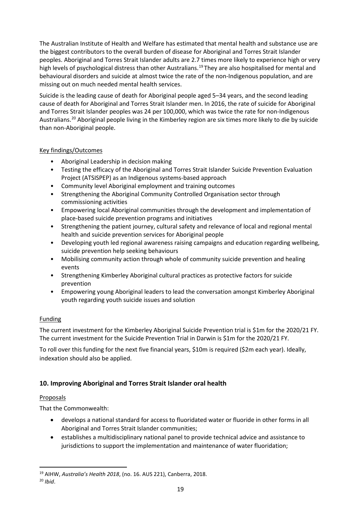The Australian Institute of Health and Welfare has estimated that mental health and substance use are the biggest contributors to the overall burden of disease for Aboriginal and Torres Strait Islander peoples. Aboriginal and Torres Strait Islander adults are 2.7 times more likely to experience high or very high levels of psychological distress than other Australians. [19](#page-19-0) They are also hospitalised for mental and behavioural disorders and suicide at almost twice the rate of the non-Indigenous population, and are missing out on much needed mental health services.

Suicide is the leading cause of death for Aboriginal people aged 5–34 years, and the second leading cause of death for Aboriginal and Torres Strait Islander men. In 2016, the rate of suicide for Aboriginal and Torres Strait Islander peoples was 24 per 100,000, which was twice the rate for non-Indigenous Australians.[20](#page-19-1) Aboriginal people living in the Kimberley region are six times more likely to die by suicide than non-Aboriginal people.

## Key findings/Outcomes

- Aboriginal Leadership in decision making
- Testing the efficacy of the Aboriginal and Torres Strait Islander Suicide Prevention Evaluation Project (ATSISPEP) as an Indigenous systems-based approach
- Community level Aboriginal employment and training outcomes
- Strengthening the Aboriginal Community Controlled Organisation sector through commissioning activities
- Empowering local Aboriginal communities through the development and implementation of place-based suicide prevention programs and initiatives
- Strengthening the patient journey, cultural safety and relevance of local and regional mental health and suicide prevention services for Aboriginal people
- Developing youth led regional awareness raising campaigns and education regarding wellbeing, suicide prevention help seeking behaviours
- Mobilising community action through whole of community suicide prevention and healing events
- Strengthening Kimberley Aboriginal cultural practices as protective factors for suicide prevention
- Empowering young Aboriginal leaders to lead the conversation amongst Kimberley Aboriginal youth regarding youth suicide issues and solution

# Funding

The current investment for the Kimberley Aboriginal Suicide Prevention trial is \$1m for the 2020/21 FY. The current investment for the Suicide Prevention Trial in Darwin is \$1m for the 2020/21 FY.

To roll over this funding for the next five financial years, \$10m is required (\$2m each year). Ideally, indexation should also be applied.

# **10. Improving Aboriginal and Torres Strait Islander oral health**

## Proposals

That the Commonwealth:

- develops a national standard for access to fluoridated water or fluoride in other forms in all Aboriginal and Torres Strait Islander communities;
- establishes a multidisciplinary national panel to provide technical advice and assistance to jurisdictions to support the implementation and maintenance of water fluoridation;

<span id="page-19-0"></span><sup>19</sup> AIHW, *Australia's Health 2018*, (no. 16. AUS 221), Canberra, 2018.

<span id="page-19-1"></span><sup>20</sup> *Ibid*.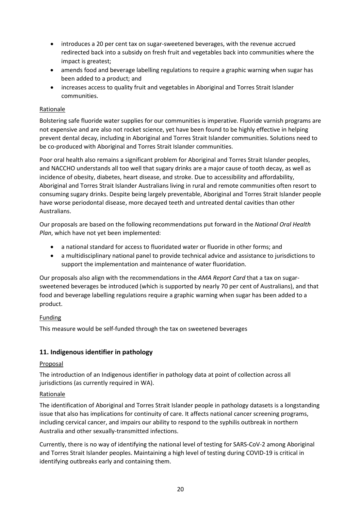- introduces a 20 per cent tax on sugar-sweetened beverages, with the revenue accrued redirected back into a subsidy on fresh fruit and vegetables back into communities where the impact is greatest;
- amends food and beverage labelling regulations to require a graphic warning when sugar has been added to a product; and
- increases access to quality fruit and vegetables in Aboriginal and Torres Strait Islander communities.

## Rationale

Bolstering safe fluoride water supplies for our communities is imperative. Fluoride varnish programs are not expensive and are also not rocket science, yet have been found to be highly effective in helping prevent dental decay, including in Aboriginal and Torres Strait Islander communities. Solutions need to be co-produced with Aboriginal and Torres Strait Islander communities.

Poor oral health also remains a significant problem for Aboriginal and Torres Strait Islander peoples, and NACCHO understands all too well that sugary drinks are a major cause of tooth decay, as well as incidence of obesity, diabetes, heart disease, and stroke. Due to accessibility and affordability, Aboriginal and Torres Strait Islander Australians living in rural and remote communities often resort to consuming sugary drinks. Despite being largely preventable, Aboriginal and Torres Strait Islander people have worse periodontal disease, more decayed teeth and untreated dental cavities than other Australians.

Our proposals are based on the following recommendations put forward in the *National Oral Health Plan*, which have not yet been implemented:

- a national standard for access to fluoridated water or fluoride in other forms; and
- a multidisciplinary national panel to provide technical advice and assistance to jurisdictions to support the implementation and maintenance of water fluoridation.

Our proposals also align with the recommendations in the *AMA Report Card* that a tax on sugarsweetened beverages be introduced (which is supported by nearly 70 per cent of Australians), and that food and beverage labelling regulations require a graphic warning when sugar has been added to a product.

# Funding

This measure would be self-funded through the tax on sweetened beverages

# **11. Indigenous identifier in pathology**

## Proposal

The introduction of an Indigenous identifier in pathology data at point of collection across all jurisdictions (as currently required in WA).

## Rationale

The identification of Aboriginal and Torres Strait Islander people in pathology datasets is a longstanding issue that also has implications for continuity of care. It affects national cancer screening programs, including cervical cancer, and impairs our ability to respond to the syphilis outbreak in northern Australia and other sexually-transmitted infections.

Currently, there is no way of identifying the national level of testing for SARS-CoV-2 among Aboriginal and Torres Strait Islander peoples. Maintaining a high level of testing during COVID-19 is critical in identifying outbreaks early and containing them.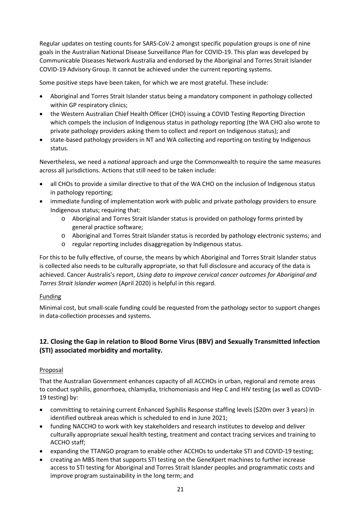Regular updates on testing counts for SARS-CoV-2 amongst specific population groups is one of nine goals in the Australian National Disease Surveillance Plan for COVID-19. This plan was developed by Communicable Diseases Network Australia and endorsed by the Aboriginal and Torres Strait Islander COVID-19 Advisory Group. It cannot be achieved under the current reporting systems.

Some positive steps have been taken, for which we are most grateful. These include:

- Aboriginal and Torres Strait Islander status being a mandatory component in pathology collected within GP respiratory clinics;
- the Western Australian Chief Health Officer (CHO) issuing a COVID Testing Reporting Direction which compels the inclusion of Indigenous status in pathology reporting (the WA CHO also wrote to private pathology providers asking them to collect and report on Indigenous status); and
- state-based pathology providers in NT and WA collecting and reporting on testing by Indigenous status.

Nevertheless, we need a *national* approach and urge the Commonwealth to require the same measures across all jurisdictions. Actions that still need to be taken include:

- all CHOs to provide a similar directive to that of the WA CHO on the inclusion of Indigenous status in pathology reporting;
- immediate funding of implementation work with public and private pathology providers to ensure Indigenous status; requiring that:
	- o Aboriginal and Torres Strait Islander status is provided on pathology forms printed by general practice software;
	- o Aboriginal and Torres Strait Islander status is recorded by pathology electronic systems; and
	- o regular reporting includes disaggregation by Indigenous status.

For this to be fully effective, of course, the means by which Aboriginal and Torres Strait Islander status is collected also needs to be culturally appropriate, so that full disclosure and accuracy of the data is achieved. Cancer Australis's report, *Using data to improve cervical cancer outcomes for Aboriginal and Torres Strait Islander women* (April 2020) is helpful in this regard.

## Funding

Minimal cost, but small-scale funding could be requested from the pathology sector to support changes in data-collection processes and systems.

# **12. Closing the Gap in relation to Blood Borne Virus (BBV) and Sexually Transmitted Infection (STI) associated morbidity and mortality.**

# Proposal

That the Australian Government enhances capacity of all ACCHOs in urban, regional and remote areas to conduct syphilis, gonorrhoea, chlamydia, trichomoniasis and Hep C and HIV testing (as well as COVID-19 testing) by:

- committing to retaining current Enhanced Syphilis Response staffing levels (\$20m over 3 years) in identified outbreak areas which is scheduled to end in June 2021;
- funding NACCHO to work with key stakeholders and research institutes to develop and deliver culturally appropriate sexual health testing, treatment and contact tracing services and training to ACCHO staff;
- expanding the TTANGO program to enable other ACCHOs to undertake STI and COVID-19 testing;
- creating an MBS Item that supports STI testing on the GeneXpert machines to further increase access to STI testing for Aboriginal and Torres Strait Islander peoples and programmatic costs and improve program sustainability in the long term; and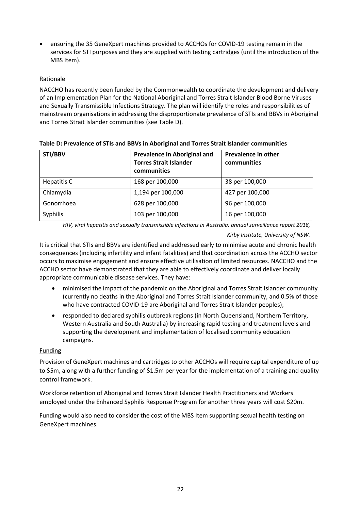• ensuring the 35 GeneXpert machines provided to ACCHOs for COVID-19 testing remain in the services for STI purposes and they are supplied with testing cartridges (until the introduction of the MBS Item).

## Rationale

NACCHO has recently been funded by the Commonwealth to coordinate the development and delivery of an Implementation Plan for the National Aboriginal and Torres Strait Islander Blood Borne Viruses and Sexually Transmissible Infections Strategy. The plan will identify the roles and responsibilities of mainstream organisations in addressing the disproportionate prevalence of STIs and BBVs in Aboriginal and Torres Strait Islander communities (see Table D).

| STI/BBV     | <b>Prevalence in Aboriginal and</b><br><b>Torres Strait Islander</b><br>communities | <b>Prevalence in other</b><br>communities |
|-------------|-------------------------------------------------------------------------------------|-------------------------------------------|
| Hepatitis C | 168 per 100,000                                                                     | 38 per 100,000                            |
| Chlamydia   | 1,194 per 100,000                                                                   | 427 per 100,000                           |
| Gonorrhoea  | 628 per 100,000                                                                     | 96 per 100,000                            |
| Syphilis    | 103 per 100,000                                                                     | 16 per 100,000                            |

**Table D: Prevalence of STIs and BBVs in Aboriginal and Torres Strait Islander communities**

*HIV, viral hepatitis and sexually transmissible infections in Australia: annual surveillance report 2018,* 

#### *Kirby Institute, University of NSW.*

It is critical that STIs and BBVs are identified and addressed early to minimise acute and chronic health consequences (including infertility and infant fatalities) and that coordination across the ACCHO sector occurs to maximise engagement and ensure effective utilisation of limited resources. NACCHO and the ACCHO sector have demonstrated that they are able to effectively coordinate and deliver locally appropriate communicable disease services. They have:

- minimised the impact of the pandemic on the Aboriginal and Torres Strait Islander community (currently no deaths in the Aboriginal and Torres Strait Islander community, and 0.5% of those who have contracted COVID-19 are Aboriginal and Torres Strait Islander peoples);
- responded to declared syphilis outbreak regions (in North Queensland, Northern Territory, Western Australia and South Australia) by increasing rapid testing and treatment levels and supporting the development and implementation of localised community education campaigns.

## Funding

Provision of GeneXpert machines and cartridges to other ACCHOs will require capital expenditure of up to \$5m, along with a further funding of \$1.5m per year for the implementation of a training and quality control framework.

Workforce retention of Aboriginal and Torres Strait Islander Health Practitioners and Workers employed under the Enhanced Syphilis Response Program for another three years will cost \$20m.

Funding would also need to consider the cost of the MBS Item supporting sexual health testing on GeneXpert machines.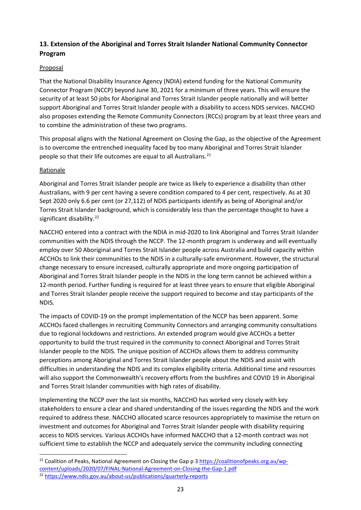# **13. Extension of the Aboriginal and Torres Strait Islander National Community Connector Program**

## Proposal

That the National Disability Insurance Agency (NDIA) extend funding for the National Community Connector Program (NCCP) beyond June 30, 2021 for a minimum of three years. This will ensure the security of at least 50 jobs for Aboriginal and Torres Strait Islander people nationally and will better support Aboriginal and Torres Strait Islander people with a disability to access NDIS services. NACCHO also proposes extending the Remote Community Connectors (RCCs) program by at least three years and to combine the administration of these two programs.

This proposal aligns with the National Agreement on Closing the Gap, as the objective of the Agreement is to overcome the entrenched inequality faced by too many Aboriginal and Torres Strait Islander people so that their life outcomes are equal to all Australians.<sup>[21](#page-23-0)</sup>

## Rationale

Aboriginal and Torres Strait Islander people are twice as likely to experience a disability than other Australians, with 9 per cent having a severe condition compared to 4 per cent, respectively. As at 30 Sept 2020 only 6.6 per cent (or 27,112) of NDIS participants identify as being of Aboriginal and/or Torres Strait Islander background, which is considerably less than the percentage thought to have a significant disability.<sup>[22](#page-23-1)</sup>

NACCHO entered into a contract with the NDIA in mid-2020 to link Aboriginal and Torres Strait Islander communities with the NDIS through the NCCP. The 12-month program is underway and will eventually employ over 50 Aboriginal and Torres Strait Islander people across Australia and build capacity within ACCHOs to link their communities to the NDIS in a culturally-safe environment. However, the structural change necessary to ensure increased, culturally appropriate and more ongoing participation of Aboriginal and Torres Strait Islander people in the NDIS in the long term cannot be achieved within a 12-month period. Further funding is required for at least three years to ensure that eligible Aboriginal and Torres Strait Islander people receive the support required to become and stay participants of the NDIS.

The impacts of COVID-19 on the prompt implementation of the NCCP has been apparent. Some ACCHOs faced challenges in recruiting Community Connectors and arranging community consultations due to regional lockdowns and restrictions. An extended program would give ACCHOs a better opportunity to build the trust required in the community to connect Aboriginal and Torres Strait Islander people to the NDIS. The unique position of ACCHOs allows them to address community perceptions among Aboriginal and Torres Strait Islander people about the NDIS and assist with difficulties in understanding the NDIS and its complex eligibility criteria. Additional time and resources will also support the Commonwealth's recovery efforts from the bushfires and COVID 19 in Aboriginal and Torres Strait Islander communities with high rates of disability.

Implementing the NCCP over the last six months, NACCHO has worked very closely with key stakeholders to ensure a clear and shared understanding of the issues regarding the NDIS and the work required to address these. NACCHO allocated scarce resources appropriately to maximise the return on investment and outcomes for Aboriginal and Torres Strait Islander people with disability requiring access to NDIS services. Various ACCHOs have informed NACCHO that a 12-month contract was not sufficient time to establish the NCCP and adequately service the community including connecting

<span id="page-23-1"></span><span id="page-23-0"></span><sup>&</sup>lt;sup>21</sup> Coalition of Peaks, National Agreement on Closing the Gap p 3 [https://coalitionofpeaks.org.au/wp](https://coalitionofpeaks.org.au/wp-content/uploads/2020/07/FINAL-National-Agreement-on-Closing-the-Gap-1.pdf)[content/uploads/2020/07/FINAL-National-Agreement-on-Closing-the-Gap-1.pdf](https://coalitionofpeaks.org.au/wp-content/uploads/2020/07/FINAL-National-Agreement-on-Closing-the-Gap-1.pdf) 22 <https://www.ndis.gov.au/about-us/publications/quarterly-reports>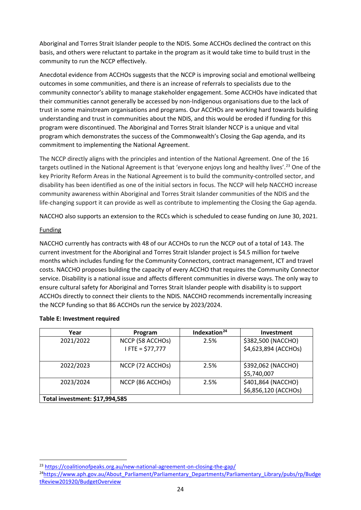Aboriginal and Torres Strait Islander people to the NDIS. Some ACCHOs declined the contract on this basis, and others were reluctant to partake in the program as it would take time to build trust in the community to run the NCCP effectively.

Anecdotal evidence from ACCHOs suggests that the NCCP is improving social and emotional wellbeing outcomes in some communities, and there is an increase of referrals to specialists due to the community connector's ability to manage stakeholder engagement. Some ACCHOs have indicated that their communities cannot generally be accessed by non-Indigenous organisations due to the lack of trust in some mainstream organisations and programs. Our ACCHOs are working hard towards building understanding and trust in communities about the NDIS, and this would be eroded if funding for this program were discontinued. The Aboriginal and Torres Strait Islander NCCP is a unique and vital program which demonstrates the success of the Commonwealth's Closing the Gap agenda, and its commitment to implementing the National Agreement.

The NCCP directly aligns with the principles and intention of the National Agreement. One of the 16 targets outlined in the National Agreement is that 'everyone enjoys long and healthy lives'.<sup>[23](#page-24-0)</sup> One of the key Priority Reform Areas in the National Agreement is to build the community-controlled sector, and disability has been identified as one of the initial sectors in focus. The NCCP will help NACCHO increase community awareness within Aboriginal and Torres Strait Islander communities of the NDIS and the life-changing support it can provide as well as contribute to implementing the Closing the Gap agenda.

NACCHO also supports an extension to the RCCs which is scheduled to cease funding on June 30, 2021.

#### Funding

NACCHO currently has contracts with 48 of our ACCHOs to run the NCCP out of a total of 143. The current investment for the Aboriginal and Torres Strait Islander project is \$4.5 million for twelve months which includes funding for the Community Connectors, contract management, ICT and travel costs. NACCHO proposes building the capacity of every ACCHO that requires the Community Connector service. Disability is a national issue and affects different communities in diverse ways. The only way to ensure cultural safety for Aboriginal and Torres Strait Islander people with disability is to support ACCHOs directly to connect their clients to the NDIS. NACCHO recommends incrementally increasing the NCCP funding so that 86 ACCHOs run the service by 2023/2024.

| Year                           | Program            | Indexation <sup>24</sup> | <b>Investment</b>    |
|--------------------------------|--------------------|--------------------------|----------------------|
| 2021/2022                      | NCCP (58 ACCHOs)   | 2.5%                     | \$382,500 (NACCHO)   |
|                                | $I$ FTE = \$77,777 |                          | \$4,623,894 (ACCHOs) |
|                                |                    |                          |                      |
| 2022/2023                      | NCCP (72 ACCHOS)   | 2.5%                     | \$392,062 (NACCHO)   |
|                                |                    |                          | \$5,740,007          |
| 2023/2024                      | NCCP (86 ACCHOS)   | 2.5%                     | \$401,864 (NACCHO)   |
|                                |                    |                          | \$6,856,120 (ACCHOs) |
| Total investment: \$17,994,585 |                    |                          |                      |

#### **Table E: Investment required**

<span id="page-24-0"></span><sup>&</sup>lt;sup>23</sup> <https://coalitionofpeaks.org.au/new-national-agreement-on-closing-the-gap/>

<span id="page-24-1"></span><sup>&</sup>lt;sup>24</sup>https://www.aph.gov.au/About\_Parliament/Parliamentary\_Departments/Parliamentary\_Library/pubs/rp/Budge [tReview201920/BudgetOverview](https://www.aph.gov.au/About_Parliament/Parliamentary_Departments/Parliamentary_Library/pubs/rp/BudgetReview201920/BudgetOverview)